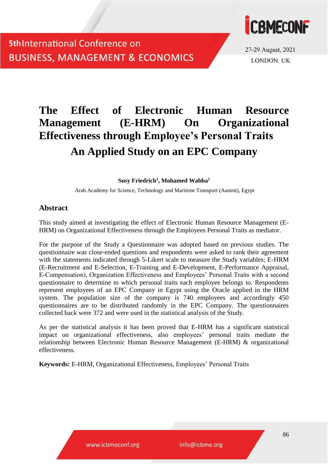

27-29 August, 2021 **LONDON. UK** 

# **The Effect of Electronic Human Resource Management (E-HRM) On Organizational Effectiveness through Employee's Personal Traits An Applied Study on an EPC Company**

**Susy Friedrich<sup>1</sup> , Mohamed Wahba<sup>2</sup>**

Arab Academy for Science, Technology and Maritime Transport (Aastmt), Egypt

### **Abstract**

This study aimed at investigating the effect of Electronic Human Resource Management (E-HRM) on Organizational Effectiveness through the Employees Personal Traits as mediator.

For the purpose of the Study a Questionnaire was adopted based on previous studies. The questionnaire was close-ended questions and respondents were asked to rank their agreement with the statements indicated through 5-Likert scale to measure the Study variables; E-HRM (E-Recruitment and E-Selection, E-Training and E-Development, E-Performance Appraisal, E-Compensation), Organization Effectiveness and Employees' Personal Traits with a second questionnaire to determine to which personal traits each employee belongs to. Respondents represent employees of an EPC Company in Egypt using the Oracle applied in the HRM system. The population size of the company is 740 employees and accordingly 450 questionnaires are to be distributed randomly in the EPC Company. The questionnaires collected back were 372 and were used in the statistical analysis of the Study.

As per the statistical analysis it has been proved that E-HRM has a significant statistical impact on organizational effectiveness, also employees' personal traits mediate the relationship between Electronic Human Resource Management (E-HRM) & organizational effectiveness.

**Keywords:** E-HRM, Organizational Effectiveness, Employees' Personal Traits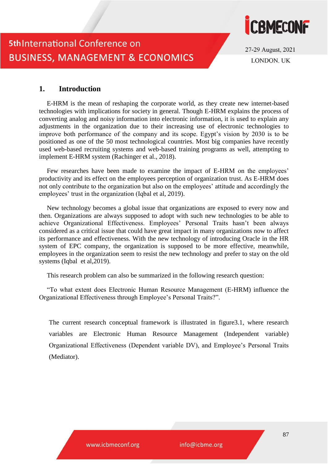

27-29 August, 2021 **LONDON, UK** 

### **1. Introduction**

E-HRM is the mean of reshaping the corporate world, as they create new internet-based technologies with implications for society in general. Though E-HRM explains the process of converting analog and noisy information into electronic information, it is used to explain any adjustments in the organization due to their increasing use of electronic technologies to improve both performance of the company and its scope. Egypt's vision by 2030 is to be positioned as one of the 50 most technological countries. Most big companies have recently used web-based recruiting systems and web-based training programs as well, attempting to implement E-HRM system (Rachinger et al., 2018).

Few researches have been made to examine the impact of E-HRM on the employees' productivity and its effect on the employees perception of organization trust. As E-HRM does not only contribute to the organization but also on the employees' attitude and accordingly the employees' trust in the organization (Iqbal et al, 2019).

New technology becomes a global issue that organizations are exposed to every now and then. Organizations are always supposed to adopt with such new technologies to be able to achieve Organizational Effectiveness. Employees' Personal Traits hasn't been always considered as a critical issue that could have great impact in many organizations now to affect its performance and effectiveness. With the new technology of introducing Oracle in the HR system of EPC company, the organization is supposed to be more effective, meanwhile, employees in the organization seem to resist the new technology and prefer to stay on the old systems (Iqbal et al,2019).

This research problem can also be summarized in the following research question:

"To what extent does Electronic Human Resource Management (E-HRM) influence the Organizational Effectiveness through Employee's Personal Traits?".

The current research conceptual framework is illustrated in figure3.1, where research variables are Electronic Human Resource Management (Independent variable) Organizational Effectiveness (Dependent variable DV), and Employee's Personal Traits (Mediator).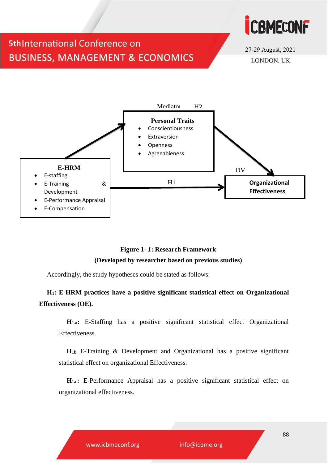



27-29 August, 2021 LONDON. UK



### **Figure 1-** *1***: Research Framework (Developed by researcher based on previous studies)**

Accordingly, the study hypotheses could be stated as follows:

### **H1: E-HRM practices have a positive significant statistical effect on Organizational Effectiveness (OE).**

**H1.a:** E-Staffing has a positive significant statistical effect Organizational Effectiveness.

**H1b** E-Training & Development and Organizational has a positive significant statistical effect on organizational Effectiveness.

**H1.c:** E-Performance Appraisal has a positive significant statistical effect on organizational effectiveness.

www.icbmeconf.org

info@icbme.org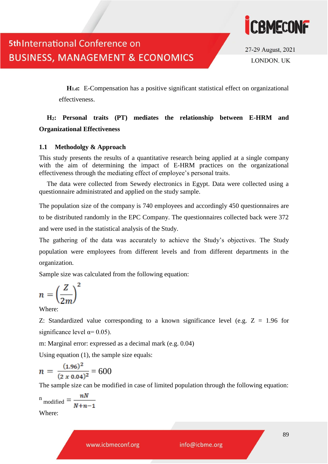

27-29 August, 2021 **LONDON. UK** 

**H1.d:** E-Compensation has a positive significant statistical effect on organizational effectiveness.

### **H2: Personal traits (PT) mediates the relationship between E-HRM and Organizational Effectiveness**

### **1.1 Methodolgy & Approach**

This study presents the results of a quantitative research being applied at a single company with the aim of determining the impact of E-HRM practices on the organizational effectiveness through the mediating effect of employee's personal traits.

The data were collected from Sewedy electronics in Egypt. Data were collected using a questionnaire administrated and applied on the study sample.

The population size of the company is 740 employees and accordingly 450 questionnaires are to be distributed randomly in the EPC Company. The questionnaires collected back were 372 and were used in the statistical analysis of the Study.

The gathering of the data was accurately to achieve the Study's objectives. The Study population were employees from different levels and from different departments in the organization.

Sample size was calculated from the following equation:

$$
n = \left(\frac{Z}{2m}\right)^2
$$

Where:

Z: Standardized value corresponding to a known significance level (e.g.  $Z = 1.96$  for significance level  $\alpha$ = 0.05).

m: Marginal error: expressed as a decimal mark (e.g. 0.04)

Using equation (1), the sample size equals:

$$
n = \frac{(1.96)^2}{(2 \times 0.04)^2} = 600
$$

The sample size can be modified in case of limited population through the following equation:

$$
{}^{n}\text{modified} = \frac{nN}{N+n-1}
$$

Where:

www.icbmeconf.org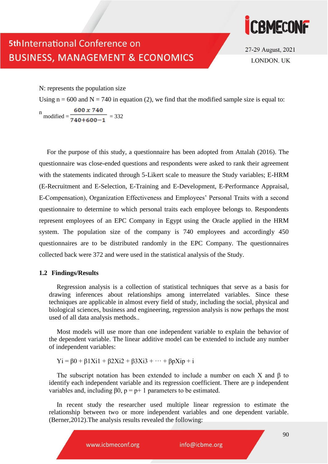

27-29 August, 2021 LONDON. UK

N: represents the population size

Using  $n = 600$  and  $N = 740$  in equation (2), we find that the modified sample size is equal to:

m modified =  $\frac{600 \times 740}{740 + 600 + 1}$  = 332

For the purpose of this study, a questionnaire has been adopted from Attalah (2016). The questionnaire was close-ended questions and respondents were asked to rank their agreement with the statements indicated through 5-Likert scale to measure the Study variables; E-HRM (E-Recruitment and E-Selection, E-Training and E-Development, E-Performance Appraisal, E-Compensation), Organization Effectiveness and Employees' Personal Traits with a second questionnaire to determine to which personal traits each employee belongs to. Respondents represent employees of an EPC Company in Egypt using the Oracle applied in the HRM system. The population size of the company is 740 employees and accordingly 450 questionnaires are to be distributed randomly in the EPC Company. The questionnaires collected back were 372 and were used in the statistical analysis of the Study.

#### **1.2 Findings/Results**

Regression analysis is a collection of statistical techniques that serve as a basis for drawing inferences about relationships among interrelated variables. Since these techniques are applicable in almost every field of study, including the social, physical and biological sciences, business and engineering, regression analysis is now perhaps the most used of all data analysis methods..

Most models will use more than one independent variable to explain the behavior of the dependent variable. The linear additive model can be extended to include any number of independent variables:

 $Yi = β0 + β1Xi1 + β2Xi2 + β3Xi3 + \cdots + βpXip + i$ 

The subscript notation has been extended to include a number on each X and  $\beta$  to identify each independent variable and its regression coefficient. There are p independent variables and, including  $\beta 0$ ,  $p = p+1$  parameters to be estimated.

In recent study the researcher used multiple linear regression to estimate the relationship between two or more independent variables and one dependent variable. (Berner,2012).The analysis results revealed the following:

www.icbmeconf.org

info@icbme.org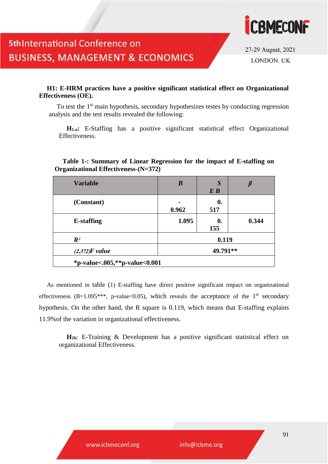

27-29 August, 2021 LONDON. UK

#### **H1: E-HRM practices have a positive significant statistical effect on Organizational Effectiveness (OE).**

To test the 1<sup>st</sup> main hypothesis, secondary hypothesizes testes by conducting regression analysis and the test results revealed the following:

**H1.a:** E-Staffing has a positive significant statistical effect Organizational Effectiveness.

| <b>Variable</b>   | $\bm{B}$ | S                  |       |
|-------------------|----------|--------------------|-------|
|                   |          | E B                |       |
| (Constant)        |          | $\boldsymbol{0}$ . |       |
|                   | 0.962    | 517                |       |
| <b>E-staffing</b> | 1.095    | 0.                 | 0.344 |
|                   |          | 155                |       |
| $\mathbb{R}^2$    | 0.119    |                    |       |
| $(2,372)$ F value | 49.791** |                    |       |

#### **Table 1-: Summary of Linear Regression for the impact of E-staffing on Organizational Effectiveness-(N=372)**

As mentioned in table (1) E-staffing have direct positive significant impact on organizational effectiveness (B=1.095<sup>\*\*\*</sup>, p-value<0.05), which reveals the acceptance of the 1<sup>st</sup> secondary hypothesis. On the other hand, the R square is 0.119, which means that E-staffing explains 11.9%of the variation in organizational effectiveness.

**H1b**: E-Training & Development has a positive significant statistical effect on organizational Effectiveness.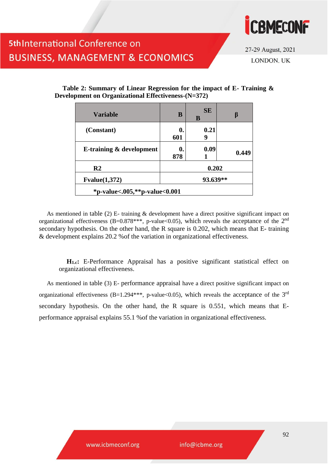

27-29 August, 2021 LONDON. UK

| <b>Variable</b>                     | B         | <b>SE</b><br>B | β     |
|-------------------------------------|-----------|----------------|-------|
| (Constant)                          | 0.<br>601 | 0.21<br>9      |       |
| <b>E-training &amp; development</b> | 0.<br>878 | 0.09           | 0.449 |
| R <sub>2</sub>                      | 0.202     |                |       |
| Fvalue(1,372)                       | 93.639**  |                |       |
| *p-value<.005,**p-value<0.001       |           |                |       |

#### **Table 2: Summary of Linear Regression for the impact of E- Training & Development on Organizational Effectiveness-(N=372)**

As mentioned in table (2) E- training & development have a direct positive significant impact on organizational effectiveness (B=0.878\*\*\*, p-value<0.05), which reveals the acceptance of the  $2<sup>nd</sup>$ secondary hypothesis. On the other hand, the R square is 0.202, which means that E- training & development explains 20.2 %of the variation in organizational effectiveness.

**H1.c:** E-Performance Appraisal has a positive significant statistical effect on organizational effectiveness.

As mentioned in table (3) E- performance appraisal have a direct positive significant impact on organizational effectiveness (B=1.294\*\*\*, p-value<0.05), which reveals the acceptance of the  $3^{rd}$ secondary hypothesis. On the other hand, the R square is 0.551, which means that Eperformance appraisal explains 55.1 %of the variation in organizational effectiveness.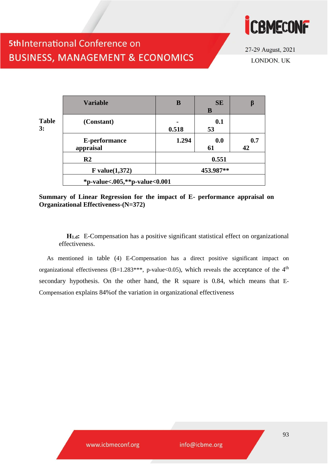

27-29 August, 2021 LONDON. UK

|                    | <b>Variable</b>               | B     | <b>SE</b><br>B |           |
|--------------------|-------------------------------|-------|----------------|-----------|
| <b>Table</b><br>3: | (Constant)                    | 0.518 | 0.1<br>53      |           |
|                    | E-performance<br>appraisal    | 1.294 | 0.0<br>61      | 0.7<br>42 |
|                    | R <sub>2</sub>                |       | 0.551          |           |
|                    | F value $(1,372)$             |       | 453.987**      |           |
|                    | *p-value<.005,**p-value<0.001 |       |                |           |

**Summary of Linear Regression for the impact of E- performance appraisal on Organizational Effectiveness-(N=372)**

**H1.d:** E-Compensation has a positive significant statistical effect on organizational effectiveness.

As mentioned in table (4) E-Compensation has a direct positive significant impact on organizational effectiveness (B=1.283\*\*\*, p-value<0.05), which reveals the acceptance of the 4<sup>th</sup> secondary hypothesis. On the other hand, the R square is 0.84, which means that E-Compensation explains 84%of the variation in organizational effectiveness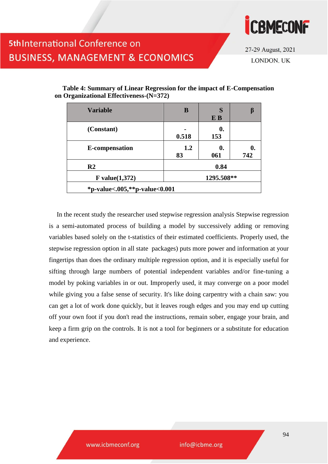

27-29 August, 2021 LONDON. UK

| <b>Variable</b>               | B          | S<br>E B            |     |
|-------------------------------|------------|---------------------|-----|
| (Constant)                    | 0.518      | $\mathbf{0}$<br>153 |     |
| <b>E-compensation</b>         | 1.2<br>83  | 0.<br>061           | 742 |
| R <sub>2</sub>                | 0.84       |                     |     |
| F value $(1,372)$             | 1295.508** |                     |     |
| *p-value<.005,**p-value<0.001 |            |                     |     |

**Table 4: Summary of Linear Regression for the impact of E-Compensation on Organizational Effectiveness-(N=372)**

In the recent study the researcher used stepwise regression analysis Stepwise regression is a semi-automated process of building a model by successively adding or removing variables based solely on the t-statistics of their estimated coefficients. Properly used, the stepwise regression option in all state packages) puts more power and information at your fingertips than does the ordinary multiple regression option, and it is especially useful for sifting through large numbers of potential independent variables and/or fine-tuning a model by poking variables in or out. Improperly used, it may converge on a poor model while giving you a false sense of security. It's like doing carpentry with a chain saw: you can get a lot of work done quickly, but it leaves rough edges and you may end up cutting off your own foot if you don't read the instructions, remain sober, engage your brain, and keep a firm grip on the controls. It is not a tool for beginners or a substitute for education and experience.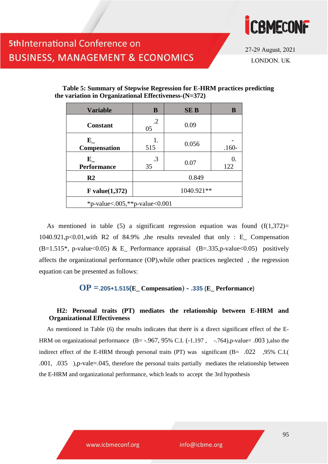

27-29 August, 2021 LONDON. UK

| <b>Variable</b>                   | B                | <b>SEB</b> |                 |
|-----------------------------------|------------------|------------|-----------------|
| <b>Constant</b>                   | $\cdot$ .2<br>05 | 0.09       |                 |
| ${\bf E}$<br><b>Compensation</b>  | 1.<br>515        | 0.056      | $.160-$         |
| ${\bf E}$<br><b>Performance</b>   | .3<br>35         | 0.07       | $\Omega$<br>122 |
| R <sub>2</sub>                    | 0.849            |            |                 |
| $F$ value $(1,372)$               | 1040.921**       |            |                 |
| *p-value < .005,**p-value < 0.001 |                  |            |                 |

**Table 5: Summary of Stepwise Regression for E-HRM practices predicting the variation in Organizational Effectiveness-(N=372)**

As mentioned in table (5) a significant regression equation was found  $(f(1,372))$ = 1040.921,p<0.01,with R2 of 84.9% ,the results revealed that only : E\_ Compensation  $(B=1.515^*$ , p-value<0.05) & E\_ Performance appraisal  $(B=.335,p$ -value<0.05) positively affects the organizational performance (OP),while other practices neglected , the regression equation can be presented as follows:

### **OP =.205+1.515(E\_ Compensation( - .335 (E\_ Performance)**

#### **H2: Personal traits (PT) mediates the relationship between E-HRM and Organizational Effectiveness**

As mentioned in Table (6) the results indicates that there is a direct significant effect of the E-HRM on organizational performance  $(B = -0.967, 95\% \text{ C.I. } (-1.197, -0.764), p-value = 0.003$ , also the indirect effect of the E-HRM through personal traits (PT) was significant (B= .022 ,95% C.I.( .001, .035 ),p-vale=.045, therefore the personal traits partially mediates the relationship between the E-HRM and organizational performance, which leads to accept the 3rd hypothesis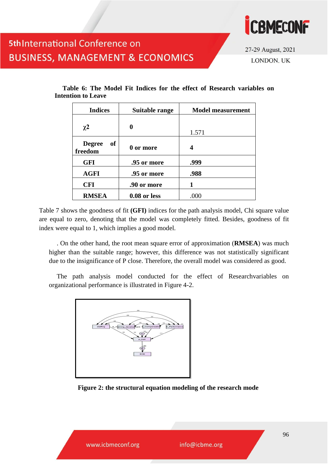

27-29 August, 2021 LONDON. UK

| <b>Indices</b>                 | Suitable range | <b>Model measurement</b> |
|--------------------------------|----------------|--------------------------|
| $\chi^2$                       | 0              | 1.571                    |
| <b>Degree</b><br>of<br>freedom | 0 or more      | 4                        |
| <b>GFI</b>                     | .95 or more    | .999                     |
| <b>AGFI</b>                    | .95 or more    | .988                     |
| <b>CFI</b>                     | .90 or more    |                          |
| <b>RMSEA</b>                   | 0.08 or less   | .000                     |

**Table 6: The Model Fit Indices for the effect of Research variables on Intention to Leave**

Table 7 shows the goodness of fit **(GFI)** indices for the path analysis model, Chi square value are equal to zero, denoting that the model was completely fitted. Besides, goodness of fit index were equal to 1, which implies a good model.

. On the other hand, the root mean square error of approximation (**RMSEA**) was much higher than the suitable range; however, this difference was not statistically significant due to the insignificance of P close. Therefore, the overall model was considered as good.

The path analysis model conducted for the effect of Researchvariables on organizational performance is illustrated in Figure 4-2.



**Figure 2: the structural equation modeling of the research mode**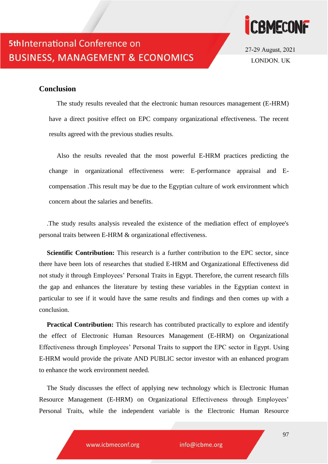



27-29 August, 2021 LONDON. UK

### **Conclusion**

The study results revealed that the electronic human resources management (E-HRM) have a direct positive effect on EPC company organizational effectiveness. The recent results agreed with the previous studies results.

Also the results revealed that the most powerful E-HRM practices predicting the change in organizational effectiveness were: E-performance appraisal and Ecompensation .This result may be due to the Egyptian culture of work environment which concern about the salaries and benefits.

.The study results analysis revealed the existence of the mediation effect of employee's personal traits between E-HRM & organizational effectiveness.

**Scientific Contribution:** This research is a further contribution to the EPC sector, since there have been lots of researches that studied E-HRM and Organizational Effectiveness did not study it through Employees' Personal Traits in Egypt. Therefore, the current research fills the gap and enhances the literature by testing these variables in the Egyptian context in particular to see if it would have the same results and findings and then comes up with a conclusion.

**Practical Contribution:** This research has contributed practically to explore and identify the effect of Electronic Human Resources Management (E-HRM) on Organizational Effectiveness through Employees' Personal Traits to support the EPC sector in Egypt. Using E-HRM would provide the private AND PUBLIC sector investor with an enhanced program to enhance the work environment needed.

The Study discusses the effect of applying new technology which is Electronic Human Resource Management (E-HRM) on Organizational Effectiveness through Employees' Personal Traits, while the independent variable is the Electronic Human Resource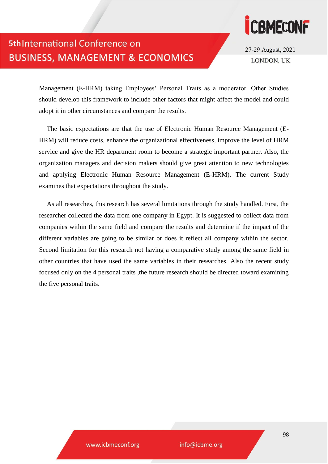

27-29 August, 2021 **LONDON, UK** 

Management (E-HRM) taking Employees' Personal Traits as a moderator. Other Studies should develop this framework to include other factors that might affect the model and could adopt it in other circumstances and compare the results.

The basic expectations are that the use of Electronic Human Resource Management (E-HRM) will reduce costs, enhance the organizational effectiveness, improve the level of HRM service and give the HR department room to become a strategic important partner. Also, the organization managers and decision makers should give great attention to new technologies and applying Electronic Human Resource Management (E-HRM). The current Study examines that expectations throughout the study.

As all researches, this research has several limitations through the study handled. First, the researcher collected the data from one company in Egypt. It is suggested to collect data from companies within the same field and compare the results and determine if the impact of the different variables are going to be similar or does it reflect all company within the sector. Second limitation for this research not having a comparative study among the same field in other countries that have used the same variables in their researches. Also the recent study focused only on the 4 personal traits ,the future research should be directed toward examining the five personal traits.